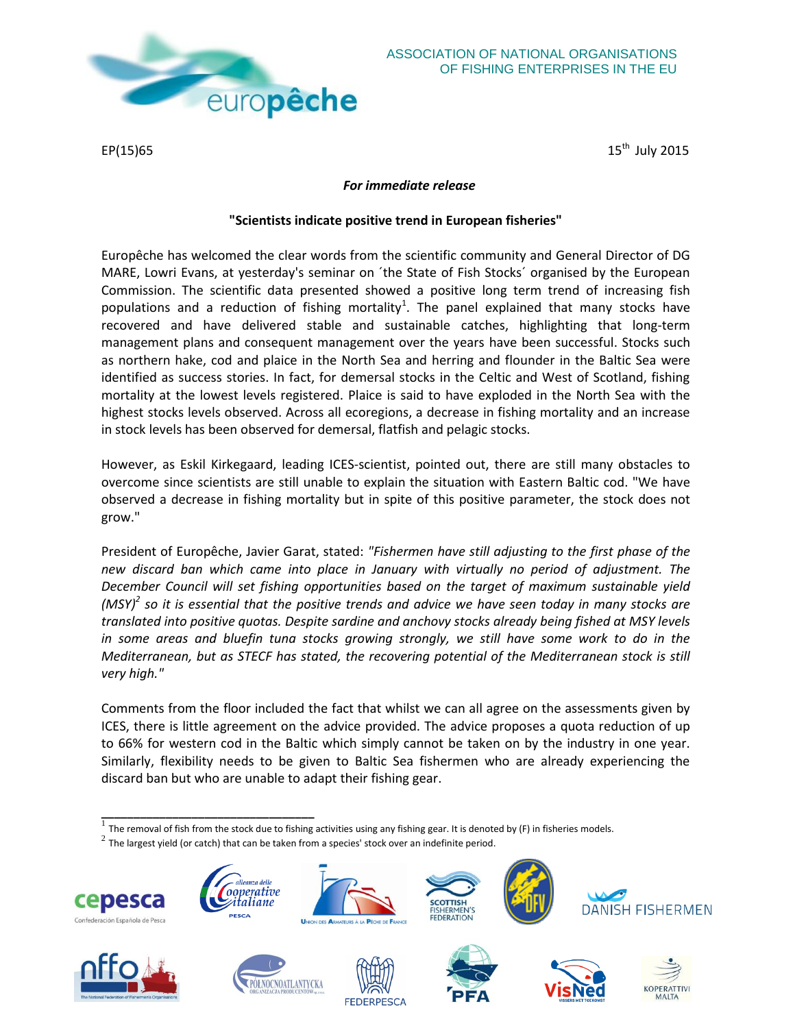

EP(15)65  $15^{\text{th}}$ 

ASSOCIATION OF NATIONAL ORGANISATIONS OF FISHING ENTERPRISES IN THE EU

15<sup>th</sup> July 2015

## *For immediate release*

## **"Scientists indicate positive trend in European fisheries"**

Europêche has welcomed the clear words from the scientific community and General Director of DG MARE, Lowri Evans, at yesterday's seminar on ´the State of Fish Stocks´ organised by the European Commission. The scientific data presented showed a positive long term trend of increasing fish populations and a reduction of fishing mortality<sup>1</sup>. The panel explained that many stocks have recovered and have delivered stable and sustainable catches, highlighting that long-term management plans and consequent management over the years have been successful. Stocks such as northern hake, cod and plaice in the North Sea and herring and flounder in the Baltic Sea were identified as success stories. In fact, for demersal stocks in the Celtic and West of Scotland, fishing mortality at the lowest levels registered. Plaice is said to have exploded in the North Sea with the highest stocks levels observed. Across all ecoregions, a decrease in fishing mortality and an increase in stock levels has been observed for demersal, flatfish and pelagic stocks.

However, as Eskil Kirkegaard, leading ICES-scientist, pointed out, there are still many obstacles to overcome since scientists are still unable to explain the situation with Eastern Baltic cod. "We have observed a decrease in fishing mortality but in spite of this positive parameter, the stock does not grow."

President of Europêche, Javier Garat, stated: *"Fishermen have still adjusting to the first phase of the new discard ban which came into place in January with virtually no period of adjustment. The December Council will set fishing opportunities based on the target of maximum sustainable yield (MSY)<sup>2</sup> so it is essential that the positive trends and advice we have seen today in many stocks are translated into positive quotas. Despite sardine and anchovy stocks already being fished at MSY levels in some areas and bluefin tuna stocks growing strongly, we still have some work to do in the Mediterranean, but as STECF has stated, the recovering potential of the Mediterranean stock is still very high."*

Comments from the floor included the fact that whilst we can all agree on the assessments given by ICES, there is little agreement on the advice provided. The advice proposes a quota reduction of up to 66% for western cod in the Baltic which simply cannot be taken on by the industry in one year. Similarly, flexibility needs to be given to Baltic Sea fishermen who are already experiencing the discard ban but who are unable to adapt their fishing gear.

- **The removal of fish from the stock due to fishing activities using any fishing gear. It is denoted by (F) in fisheries models.**
- $^2$  The largest yield (or catch) that can be taken from a species' stock over an indefinite period.